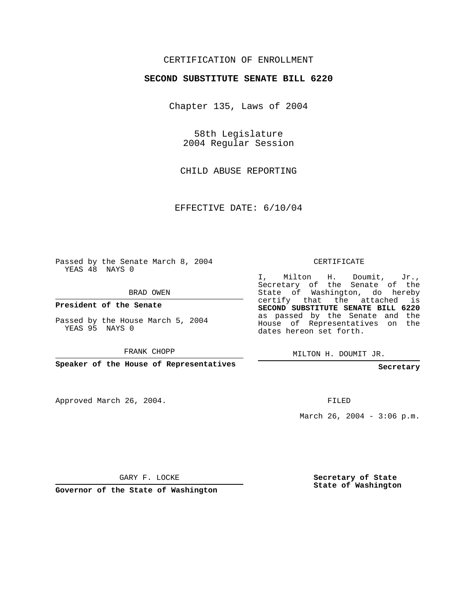## CERTIFICATION OF ENROLLMENT

## **SECOND SUBSTITUTE SENATE BILL 6220**

Chapter 135, Laws of 2004

58th Legislature 2004 Regular Session

CHILD ABUSE REPORTING

EFFECTIVE DATE: 6/10/04

Passed by the Senate March 8, 2004 YEAS 48 NAYS 0

BRAD OWEN

**President of the Senate**

Passed by the House March 5, 2004 YEAS 95 NAYS 0

FRANK CHOPP

**Speaker of the House of Representatives**

Approved March 26, 2004.

CERTIFICATE

I, Milton H. Doumit, Jr., Secretary of the Senate of the State of Washington, do hereby certify that the attached is **SECOND SUBSTITUTE SENATE BILL 6220** as passed by the Senate and the House of Representatives on the dates hereon set forth.

MILTON H. DOUMIT JR.

**Secretary**

FILED

March 26, 2004 -  $3:06$  p.m.

GARY F. LOCKE

**Governor of the State of Washington**

**Secretary of State State of Washington**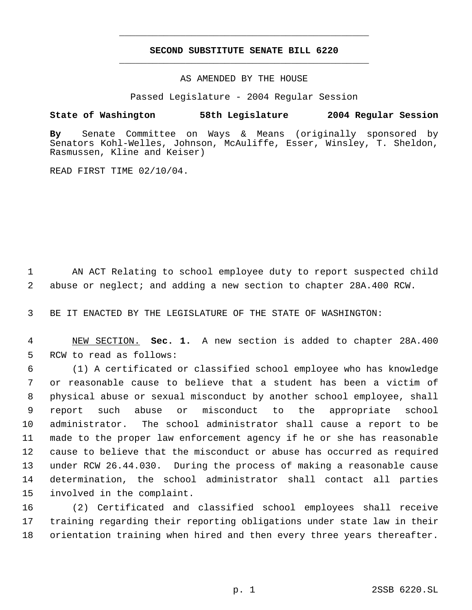## **SECOND SUBSTITUTE SENATE BILL 6220** \_\_\_\_\_\_\_\_\_\_\_\_\_\_\_\_\_\_\_\_\_\_\_\_\_\_\_\_\_\_\_\_\_\_\_\_\_\_\_\_\_\_\_\_\_

\_\_\_\_\_\_\_\_\_\_\_\_\_\_\_\_\_\_\_\_\_\_\_\_\_\_\_\_\_\_\_\_\_\_\_\_\_\_\_\_\_\_\_\_\_

AS AMENDED BY THE HOUSE

Passed Legislature - 2004 Regular Session

## **State of Washington 58th Legislature 2004 Regular Session**

**By** Senate Committee on Ways & Means (originally sponsored by Senators Kohl-Welles, Johnson, McAuliffe, Esser, Winsley, T. Sheldon, Rasmussen, Kline and Keiser)

READ FIRST TIME 02/10/04.

 AN ACT Relating to school employee duty to report suspected child abuse or neglect; and adding a new section to chapter 28A.400 RCW.

BE IT ENACTED BY THE LEGISLATURE OF THE STATE OF WASHINGTON:

 NEW SECTION. **Sec. 1.** A new section is added to chapter 28A.400 RCW to read as follows:

 (1) A certificated or classified school employee who has knowledge or reasonable cause to believe that a student has been a victim of physical abuse or sexual misconduct by another school employee, shall report such abuse or misconduct to the appropriate school administrator. The school administrator shall cause a report to be made to the proper law enforcement agency if he or she has reasonable cause to believe that the misconduct or abuse has occurred as required under RCW 26.44.030. During the process of making a reasonable cause determination, the school administrator shall contact all parties involved in the complaint.

 (2) Certificated and classified school employees shall receive training regarding their reporting obligations under state law in their orientation training when hired and then every three years thereafter.